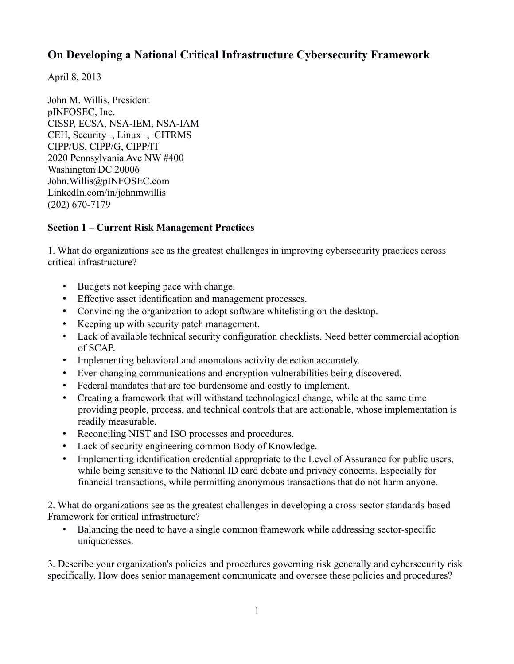April 8, 2013

John M. Willis, President pINFOSEC, Inc. CISSP, ECSA, NSA-IEM, NSA-IAM CEH, Security+, Linux+, CITRMS CIPP/US, CIPP/G, CIPP/IT 2020 Pennsylvania Ave NW #400 Washington DC 20006 John.Willis@pINFOSEC.com LinkedIn.com/in/johnmwillis (202) 670-7179

#### **Section 1 – Current Risk Management Practices**

1. What do organizations see as the greatest challenges in improving cybersecurity practices across critical infrastructure?

- • Budgets not keeping pace with change.
- • Effective asset identification and management processes.
- • Convincing the organization to adopt software whitelisting on the desktop.
- • Keeping up with security patch management.
- Lack of available technical security configuration checklists. Need better commercial adoption of SCAP.
- Implementing behavioral and anomalous activity detection accurately.
- • Ever-changing communications and encryption vulnerabilities being discovered.
- Federal mandates that are too burdensome and costly to implement.
- Creating a framework that will withstand technological change, while at the same time providing people, process, and technical controls that are actionable, whose implementation is readily measurable.
- Reconciling NIST and ISO processes and procedures.
- Lack of security engineering common Body of Knowledge.
- Implementing identification credential appropriate to the Level of Assurance for public users, while being sensitive to the National ID card debate and privacy concerns. Especially for financial transactions, while permitting anonymous transactions that do not harm anyone.

2. What do organizations see as the greatest challenges in developing a cross-sector standards-based Framework for critical infrastructure?

• Balancing the need to have a single common framework while addressing sector-specific uniquenesses.

3. Describe your organization's policies and procedures governing risk generally and cybersecurity risk specifically. How does senior management communicate and oversee these policies and procedures?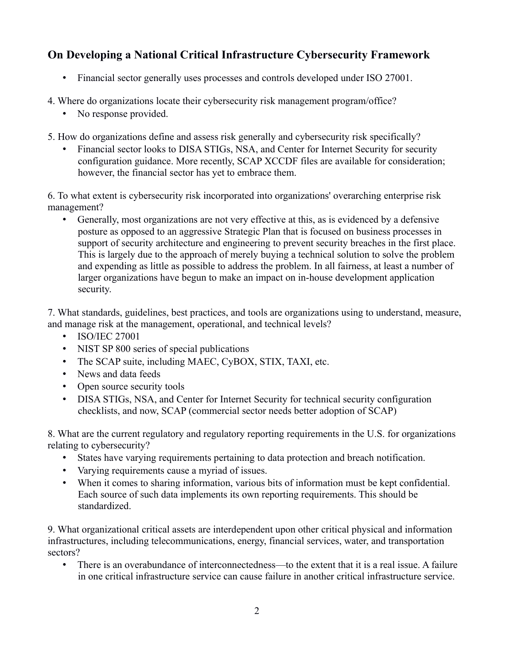- Financial sector generally uses processes and controls developed under ISO 27001.
- 4. Where do organizations locate their cybersecurity risk management program/office?
	- No response provided.
- 5. How do organizations define and assess risk generally and cybersecurity risk specifically?
	- Financial sector looks to DISA STIGs, NSA, and Center for Internet Security for security configuration guidance. More recently, SCAP XCCDF files are available for consideration; however, the financial sector has yet to embrace them.

6. To what extent is cybersecurity risk incorporated into organizations' overarching enterprise risk management?

• Generally, most organizations are not very effective at this, as is evidenced by a defensive posture as opposed to an aggressive Strategic Plan that is focused on business processes in support of security architecture and engineering to prevent security breaches in the first place. This is largely due to the approach of merely buying a technical solution to solve the problem and expending as little as possible to address the problem. In all fairness, at least a number of larger organizations have begun to make an impact on in-house development application security.

7. What standards, guidelines, best practices, and tools are organizations using to understand, measure, and manage risk at the management, operational, and technical levels?

- ISO/IEC 27001
- NIST SP 800 series of special publications
- The SCAP suite, including MAEC, CyBOX, STIX, TAXI, etc.
- News and data feeds
- Open source security tools
- DISA STIGs, NSA, and Center for Internet Security for technical security configuration checklists, and now, SCAP (commercial sector needs better adoption of SCAP)

8. What are the current regulatory and regulatory reporting requirements in the U.S. for organizations relating to cybersecurity?

- • States have varying requirements pertaining to data protection and breach notification.
- • Varying requirements cause a myriad of issues.
- • When it comes to sharing information, various bits of information must be kept confidential. Each source of such data implements its own reporting requirements. This should be standardized.

9. What organizational critical assets are interdependent upon other critical physical and information infrastructures, including telecommunications, energy, financial services, water, and transportation sectors?

• There is an overabundance of interconnectedness—to the extent that it is a real issue. A failure in one critical infrastructure service can cause failure in another critical infrastructure service.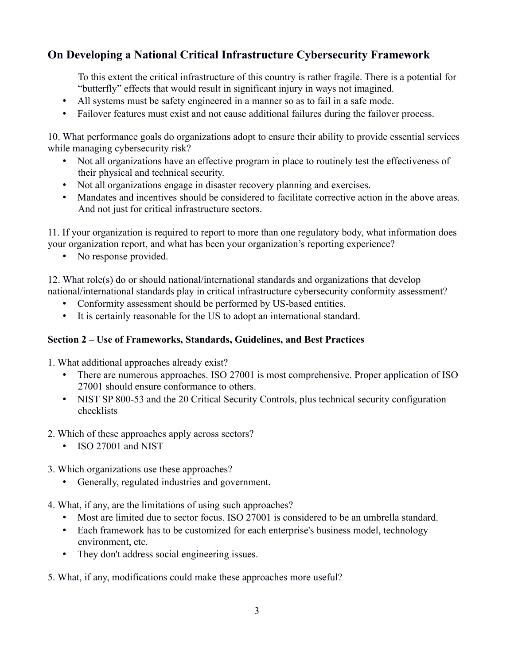To this extent the critical infrastructure of this country is rather fragile. There is a potential for "butterfly" effects that would result in significant injury in ways not imagined.

- All systems must be safety engineered in a manner so as to fail in a safe mode.
- Failover features must exist and not cause additional failures during the failover process.

10. What performance goals do organizations adopt to ensure their ability to provide essential services while managing cybersecurity risk?

- Not all organizations have an effective program in place to routinely test the effectiveness of their physical and technical security.
- Not all organizations engage in disaster recovery planning and exercises.
- Mandates and incentives should be considered to facilitate corrective action in the above areas. And not just for critical infrastructure sectors.

11. If your organization is required to report to more than one regulatory body, what information does your organization report, and what has been your organization's reporting experience?

• No response provided.

12. What role(s) do or should national/international standards and organizations that develop national/international standards play in critical infrastructure cybersecurity conformity assessment?

- • Conformity assessment should be performed by US-based entities.
- • It is certainly reasonable for the US to adopt an international standard.

#### **Section 2 – Use of Frameworks, Standards, Guidelines, and Best Practices**

- 1. What additional approaches already exist?
	- There are numerous approaches. ISO 27001 is most comprehensive. Proper application of ISO 27001 should ensure conformance to others.
	- NIST SP 800-53 and the 20 Critical Security Controls, plus technical security configuration checklists
- 2. Which of these approaches apply across sectors?
	- ISO 27001 and NIST
- 3. Which organizations use these approaches?
	- • Generally, regulated industries and government.
- 4. What, if any, are the limitations of using such approaches?
	- Most are limited due to sector focus. ISO 27001 is considered to be an umbrella standard.
	- Each framework has to be customized for each enterprise's business model, technology environment, etc.
	- They don't address social engineering issues.
- 5. What, if any, modifications could make these approaches more useful?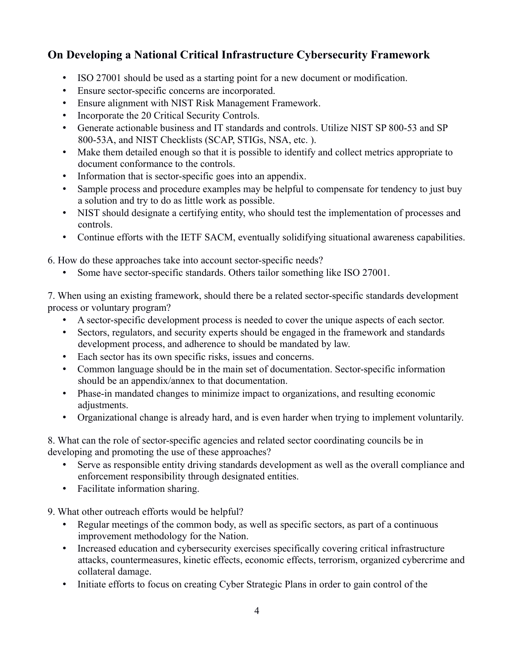- ISO 27001 should be used as a starting point for a new document or modification.
- • Ensure sector-specific concerns are incorporated.
- • Ensure alignment with NIST Risk Management Framework.
- Incorporate the 20 Critical Security Controls.
- Generate actionable business and IT standards and controls. Utilize NIST SP 800-53 and SP 800-53A, and NIST Checklists (SCAP, STIGs, NSA, etc. ).
- Make them detailed enough so that it is possible to identify and collect metrics appropriate to document conformance to the controls.
- Information that is sector-specific goes into an appendix.
- Sample process and procedure examples may be helpful to compensate for tendency to just buy a solution and try to do as little work as possible.
- NIST should designate a certifying entity, who should test the implementation of processes and controls.
- Continue efforts with the IETF SACM, eventually solidifying situational awareness capabilities.

6. How do these approaches take into account sector-specific needs?

Some have sector-specific standards. Others tailor something like ISO 27001.

7. When using an existing framework, should there be a related sector-specific standards development process or voluntary program?

- • A sector-specific development process is needed to cover the unique aspects of each sector.
- Sectors, regulators, and security experts should be engaged in the framework and standards development process, and adherence to should be mandated by law.
- • Each sector has its own specific risks, issues and concerns.
- Common language should be in the main set of documentation. Sector-specific information should be an appendix/annex to that documentation.
- Phase-in mandated changes to minimize impact to organizations, and resulting economic adjustments.
- • Organizational change is already hard, and is even harder when trying to implement voluntarily.

8. What can the role of sector-specific agencies and related sector coordinating councils be in developing and promoting the use of these approaches?

- Serve as responsible entity driving standards development as well as the overall compliance and enforcement responsibility through designated entities.
- Facilitate information sharing.

9. What other outreach efforts would be helpful?

- Regular meetings of the common body, as well as specific sectors, as part of a continuous improvement methodology for the Nation.
- Increased education and cybersecurity exercises specifically covering critical infrastructure attacks, countermeasures, kinetic effects, economic effects, terrorism, organized cybercrime and collateral damage.
- Initiate efforts to focus on creating Cyber Strategic Plans in order to gain control of the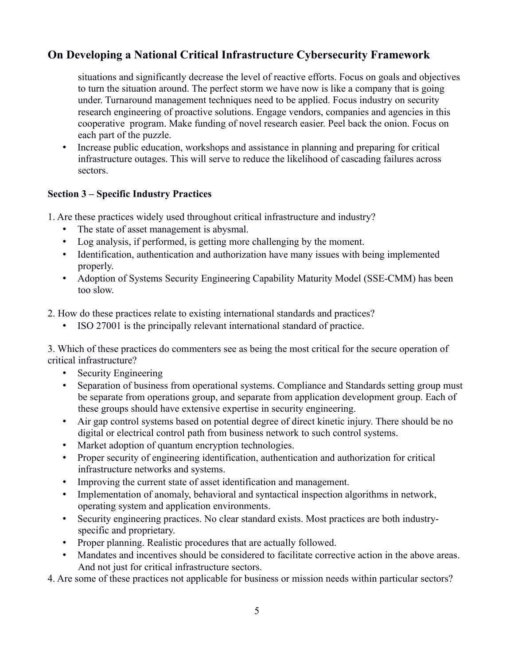situations and significantly decrease the level of reactive efforts. Focus on goals and objectives to turn the situation around. The perfect storm we have now is like a company that is going under. Turnaround management techniques need to be applied. Focus industry on security research engineering of proactive solutions. Engage vendors, companies and agencies in this cooperative program. Make funding of novel research easier. Peel back the onion. Focus on each part of the puzzle.

• Increase public education, workshops and assistance in planning and preparing for critical infrastructure outages. This will serve to reduce the likelihood of cascading failures across sectors.

#### **Section 3 – Specific Industry Practices**

1. Are these practices widely used throughout critical infrastructure and industry?

- The state of asset management is abysmal.
- • Log analysis, if performed, is getting more challenging by the moment.
- Identification, authentication and authorization have many issues with being implemented properly.
- Adoption of Systems Security Engineering Capability Maturity Model (SSE-CMM) has been too slow.
- 2. How do these practices relate to existing international standards and practices?
	- ISO 27001 is the principally relevant international standard of practice.

3. Which of these practices do commenters see as being the most critical for the secure operation of critical infrastructure?

- Security Engineering
- Separation of business from operational systems. Compliance and Standards setting group must be separate from operations group, and separate from application development group. Each of these groups should have extensive expertise in security engineering.
- Air gap control systems based on potential degree of direct kinetic injury. There should be no digital or electrical control path from business network to such control systems.
- Market adoption of quantum encryption technologies.
- Proper security of engineering identification, authentication and authorization for critical infrastructure networks and systems.
- Improving the current state of asset identification and management.
- Implementation of anomaly, behavioral and syntactical inspection algorithms in network, operating system and application environments.
- Security engineering practices. No clear standard exists. Most practices are both industryspecific and proprietary.
- Proper planning. Realistic procedures that are actually followed.
- Mandates and incentives should be considered to facilitate corrective action in the above areas. And not just for critical infrastructure sectors.

4. Are some of these practices not applicable for business or mission needs within particular sectors?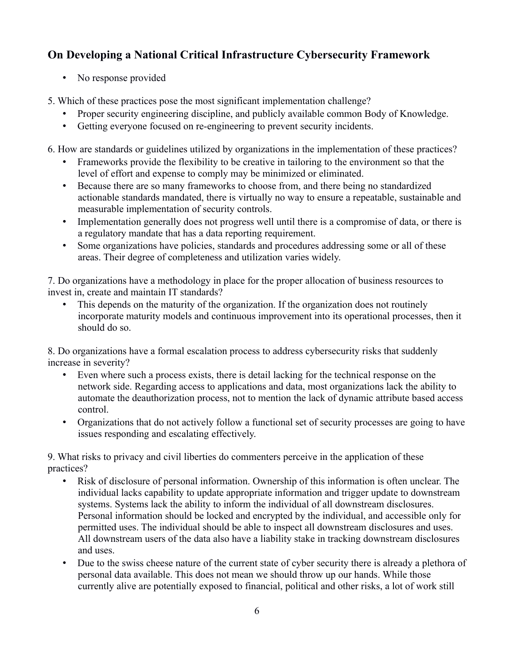• No response provided

5. Which of these practices pose the most significant implementation challenge?

- Proper security engineering discipline, and publicly available common Body of Knowledge.
- • Getting everyone focused on re-engineering to prevent security incidents.

6. How are standards or guidelines utilized by organizations in the implementation of these practices?

- Frameworks provide the flexibility to be creative in tailoring to the environment so that the level of effort and expense to comply may be minimized or eliminated.
- Because there are so many frameworks to choose from, and there being no standardized actionable standards mandated, there is virtually no way to ensure a repeatable, sustainable and measurable implementation of security controls.
- Implementation generally does not progress well until there is a compromise of data, or there is a regulatory mandate that has a data reporting requirement.
- Some organizations have policies, standards and procedures addressing some or all of these areas. Their degree of completeness and utilization varies widely.

7. Do organizations have a methodology in place for the proper allocation of business resources to invest in, create and maintain IT standards?

• This depends on the maturity of the organization. If the organization does not routinely incorporate maturity models and continuous improvement into its operational processes, then it should do so.

8. Do organizations have a formal escalation process to address cybersecurity risks that suddenly increase in severity?

- Even where such a process exists, there is detail lacking for the technical response on the network side. Regarding access to applications and data, most organizations lack the ability to automate the deauthorization process, not to mention the lack of dynamic attribute based access control.
- Organizations that do not actively follow a functional set of security processes are going to have issues responding and escalating effectively.

9. What risks to privacy and civil liberties do commenters perceive in the application of these practices?

- • Risk of disclosure of personal information. Ownership of this information is often unclear. The individual lacks capability to update appropriate information and trigger update to downstream systems. Systems lack the ability to inform the individual of all downstream disclosures. Personal information should be locked and encrypted by the individual, and accessible only for permitted uses. The individual should be able to inspect all downstream disclosures and uses. All downstream users of the data also have a liability stake in tracking downstream disclosures and uses.
- Due to the swiss cheese nature of the current state of cyber security there is already a plethora of personal data available. This does not mean we should throw up our hands. While those currently alive are potentially exposed to financial, political and other risks, a lot of work still